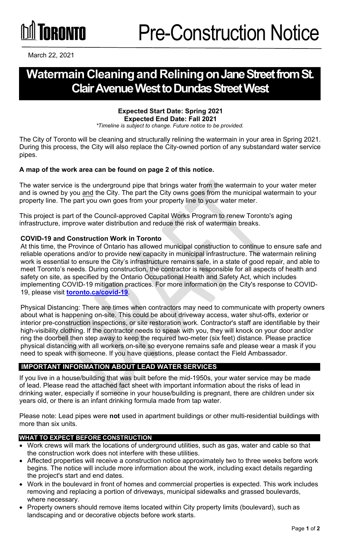# **GRANTA**

March 22, 2021

## **Watermain Cleaningand ReliningonJane Street from St. Clair Avenue West to Dundas Street West**

#### **Expected Start Date: Spring 2021 Expected End Date: Fall 2021**

*\*Timeline is subject to change. Future notice to be provided.*

The City of Toronto will be cleaning and structurally relining the watermain in your area in Spring 2021. During this process, the City will also replace the City-owned portion of any substandard water service pipes.

#### **A map of the work area can be found on page 2 of this notice.**

The water service is the underground pipe that brings water from the watermain to your water meter and is owned by you and the City. The part the City owns goes from the municipal watermain to your property line. The part you own goes from your property line to your water meter.

This project is part of the Council-approved Capital Works Program to renew Toronto's aging infrastructure, improve water distribution and reduce the risk of watermain breaks.

#### **COVID-19 and Construction Work in Toronto**

At this time, the Province of Ontario has allowed municipal construction to continue to ensure safe and reliable operations and/or to provide new capacity in municipal infrastructure. The watermain relining work is essential to ensure the City's infrastructure remains safe, in a state of good repair, and able to meet Toronto's needs. During construction, the contractor is responsible for all aspects of health and safety on site, as specified by the Ontario Occupational Health and Safety Act, which includes implementing COVID-19 mitigation practices. For more information on the City's response to COVID-19, please visit **[toronto.ca/covid-19](http://toronto.ca/covid-19)**.

Physical Distancing: There are times when contractors may need to communicate with property owners about what is happening on-site. This could be about driveway access, water shut-offs, exterior or interior pre-construction inspections, or site restoration work. Contractor's staff are identifiable by their high-visibility clothing. If the contractor needs to speak with you, they will knock on your door and/or ring the doorbell then step away to keep the required two-meter (six feet) distance. Please practice physical distancing with all workers on-site so everyone remains safe and please wear a mask if you need to speak with someone. If you have questions, please contact the Field Ambassador.

### **IMPORTANT INFORMATION ABOUT LEAD WATER SERVICES**

If you live in a house/building that was built before the mid-1950s, your water service may be made of lead. Please read the attached fact sheet with important information about the risks of lead in drinking water, especially if someone in your house/building is pregnant, there are children under six years old, or there is an infant drinking formula made from tap water.

Please note: Lead pipes were **not** used in apartment buildings or other multi-residential buildings with more than six units.

#### **WHAT TO EXPECT BEFORE CONSTRUCTION**

- Work crews will mark the locations of underground utilities, such as gas, water and cable so that the construction work does not interfere with these utilities.
- Affected properties will receive a construction notice approximately two to three weeks before work begins. The notice will include more information about the work, including exact details regarding the project's start and end dates.
- Work in the boulevard in front of homes and commercial properties is expected. This work includes removing and replacing a portion of driveways, municipal sidewalks and grassed boulevards, where necessary.
- Property owners should remove items located within City property limits (boulevard), such as landscaping and or decorative objects before work starts.